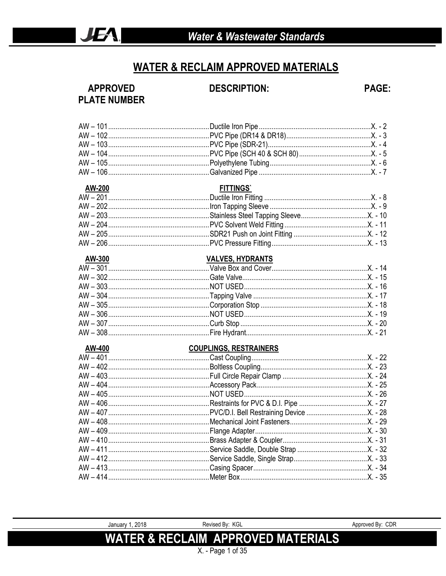#### **WATER & RECLAIM APPROVED MATERIALS**

**APPROVED** 

**DESCRIPTION:** 

**PAGE:** 

# **PLATE NUMBER**

|        | <b>FITTINGS</b>               |  |
|--------|-------------------------------|--|
| AW-200 |                               |  |
|        |                               |  |
|        |                               |  |
|        |                               |  |
|        |                               |  |
|        |                               |  |
|        |                               |  |
| AW-300 | <b>VALVES, HYDRANTS</b>       |  |
|        |                               |  |
|        |                               |  |
|        |                               |  |
|        |                               |  |
|        |                               |  |
|        |                               |  |
|        |                               |  |
|        |                               |  |
| AW-400 | <b>COUPLINGS, RESTRAINERS</b> |  |
|        |                               |  |
|        |                               |  |
|        |                               |  |
|        |                               |  |
|        |                               |  |
|        |                               |  |
|        |                               |  |
|        |                               |  |
|        |                               |  |
|        |                               |  |
|        |                               |  |
|        |                               |  |
|        |                               |  |
|        |                               |  |
|        |                               |  |
|        |                               |  |

**WATER & RECLAIM APPROVED MATERIALS**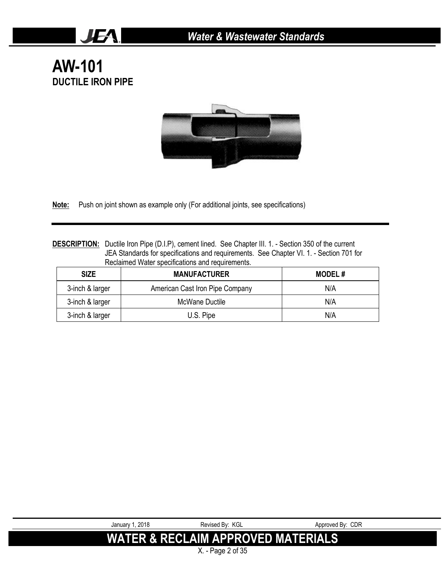**AW-101 DUCTILE IRON PIPE**

JEA.



**Note:** Push on joint shown as example only (For additional joints, see specifications)

**DESCRIPTION:** Ductile Iron Pipe (D.I.P), cement lined. See Chapter III. 1. - Section 350 of the current JEA Standards for specifications and requirements. See Chapter VI. 1. - Section 701 for Reclaimed Water specifications and requirements.

| <b>SIZE</b>     | <b>MANUFACTURER</b>             | <b>MODEL#</b> |
|-----------------|---------------------------------|---------------|
| 3-inch & larger | American Cast Iron Pipe Company | N/A           |
| 3-inch & larger | McWane Ductile                  | N/A           |
| 3-inch & larger | U.S. Pipe                       | N/A           |

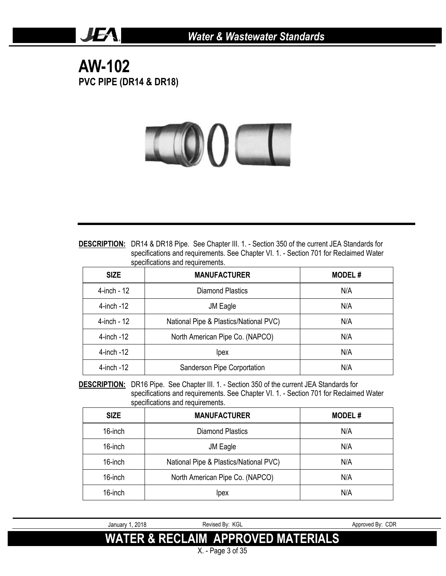**AW-102 PVC PIPE (DR14 & DR18)**

JEA.



| <b>DESCRIPTION:</b> DR14 & DR18 Pipe. See Chapter III. 1. - Section 350 of the current JEA Standards for |
|----------------------------------------------------------------------------------------------------------|
| specifications and requirements. See Chapter VI. 1. - Section 701 for Reclaimed Water                    |
| specifications and requirements.                                                                         |

| <b>SIZE</b>     | <b>MANUFACTURER</b>                    | <b>MODEL#</b> |
|-----------------|----------------------------------------|---------------|
| 4-inch - 12     | Diamond Plastics                       | N/A           |
| $4$ -inch $-12$ | JM Eagle                               | N/A           |
| 4-inch - 12     | National Pipe & Plastics/National PVC) | N/A           |
| $4$ -inch $-12$ | North American Pipe Co. (NAPCO)        | N/A           |
| $4$ -inch $-12$ | lpex                                   | N/A           |
| $4$ -inch $-12$ | Sanderson Pipe Corportation            | N/A           |

**DESCRIPTION:** DR16 Pipe. See Chapter III. 1. - Section 350 of the current JEA Standards for specifications and requirements. See Chapter VI. 1. - Section 701 for Reclaimed Water specifications and requirements.

| <b>SIZE</b> | <b>MANUFACTURER</b>                    | <b>MODEL#</b> |
|-------------|----------------------------------------|---------------|
| 16-inch     | Diamond Plastics                       | N/A           |
| 16-inch     | JM Eagle                               | N/A           |
| 16-inch     | National Pipe & Plastics/National PVC) | N/A           |
| 16-inch     | North American Pipe Co. (NAPCO)        | N/A           |
| 16-inch     | Ipex                                   | N/A           |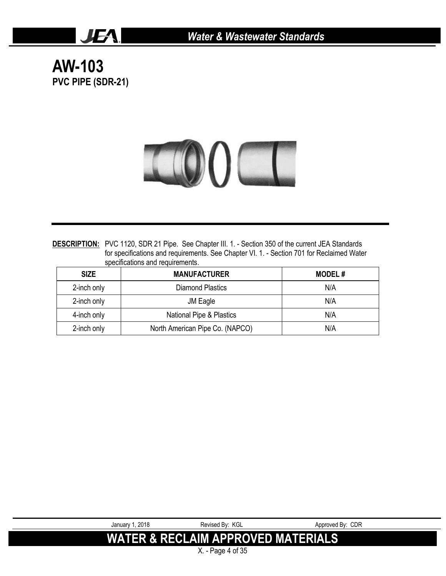**AW-103 PVC PIPE (SDR-21)**

JEA.



**DESCRIPTION:** PVC 1120, SDR 21 Pipe. See Chapter III. 1. - Section 350 of the current JEA Standards for specifications and requirements. See Chapter VI. 1. - Section 701 for Reclaimed Water specifications and requirements.

| <b>SIZE</b> | <b>MANUFACTURER</b>             | <b>MODEL#</b> |
|-------------|---------------------------------|---------------|
| 2-inch only | <b>Diamond Plastics</b>         | N/A           |
| 2-inch only | JM Eagle                        | N/A           |
| 4-inch only | National Pipe & Plastics        | N/A           |
| 2-inch only | North American Pipe Co. (NAPCO) | N/A           |

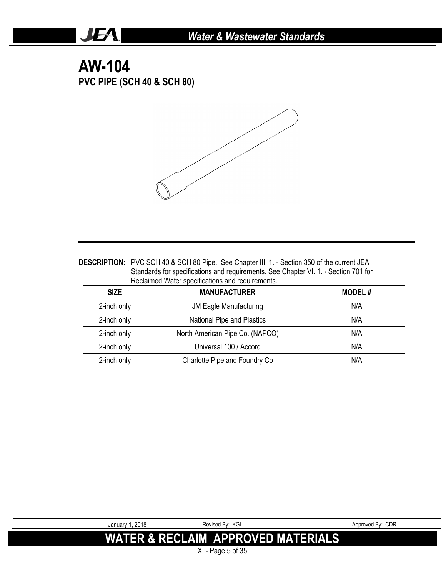## **AW-104 PVC PIPE (SCH 40 & SCH 80)**

JEA.



| <b>DESCRIPTION:</b> PVC SCH 40 & SCH 80 Pipe. See Chapter III. 1. - Section 350 of the current JEA |
|----------------------------------------------------------------------------------------------------|
| Standards for specifications and requirements. See Chapter VI. 1. - Section 701 for                |
| Reclaimed Water specifications and requirements.                                                   |

| <b>SIZE</b> | <b>MANUFACTURER</b>             | <b>MODEL#</b> |
|-------------|---------------------------------|---------------|
| 2-inch only | <b>JM Eagle Manufacturing</b>   | N/A           |
| 2-inch only | National Pipe and Plastics      | N/A           |
| 2-inch only | North American Pipe Co. (NAPCO) | N/A           |
| 2-inch only | Universal 100 / Accord          | N/A           |
| 2-inch only | Charlotte Pipe and Foundry Co   | N/A           |

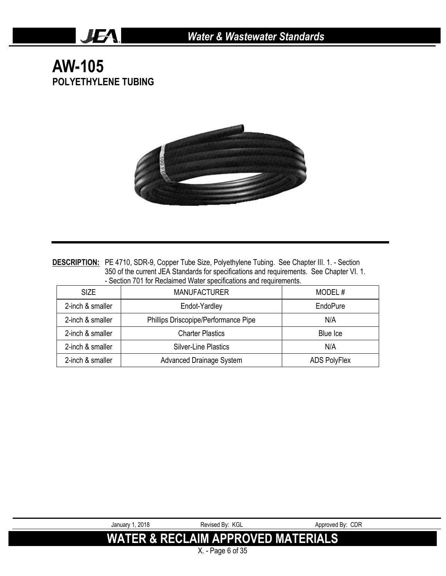**AW-105 POLYETHYLENE TUBING**

JEA.



DESCRIPTION: PE 4710, SDR-9, Copper Tube Size, Polyethylene Tubing. See Chapter III. 1. - Section 350 of the current JEA Standards for specifications and requirements. See Chapter VI. 1. - Section 701 for Reclaimed Water specifications and requirements.

| <b>SIZE</b>      | <b>MANUFACTURER</b>                  | MODEL#              |
|------------------|--------------------------------------|---------------------|
| 2-inch & smaller | Endot-Yardley                        | EndoPure            |
| 2-inch & smaller | Phillips Driscopipe/Performance Pipe | N/A                 |
| 2-inch & smaller | <b>Charter Plastics</b>              | Blue Ice            |
| 2-inch & smaller | <b>Silver-Line Plastics</b>          | N/A                 |
| 2-inch & smaller | <b>Advanced Drainage System</b>      | <b>ADS PolyFlex</b> |



X. - Page 6 of 35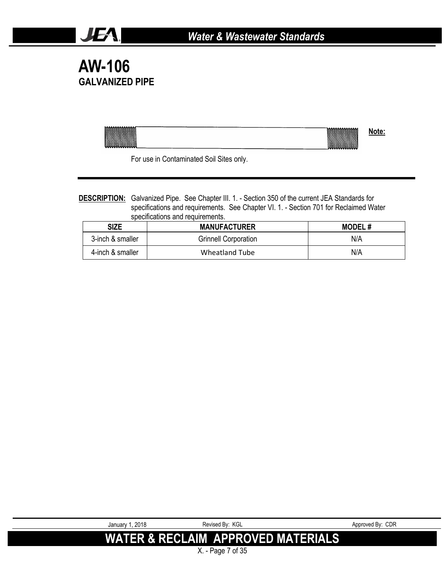# **AW-106 GALVANIZED PIPE**

JEA.

| <b>COMMUNISTICATION</b><br>I | <b>COMPOSTER</b><br>I |  |
|------------------------------|-----------------------|--|
|                              |                       |  |

For use in Contaminated Soil Sites only.

#### **DESCRIPTION:** Galvanized Pipe. See Chapter III. 1. - Section 350 of the current JEA Standards for specifications and requirements. See Chapter VI. 1. - Section 701 for Reclaimed Water specifications and requirements.

| <b>SIZE</b>      | <b>MANUFACTURER</b>         | <b>MODEL#</b> |
|------------------|-----------------------------|---------------|
| 3-inch & smaller | <b>Grinnell Corporation</b> | N/A           |
| 4-inch & smaller | Wheatland Tube              | N/A           |

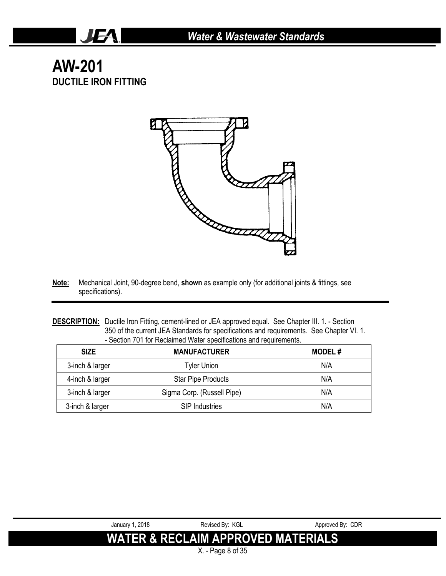# **AW-201 DUCTILE IRON FITTING**

JEA.



- **Note:** Mechanical Joint, 90-degree bend, **shown** as example only (for additional joints & fittings, see specifications).
- **DESCRIPTION:** Ductile Iron Fitting, cement-lined or JEA approved equal. See Chapter III. 1. Section 350 of the current JEA Standards for specifications and requirements. See Chapter VI. 1. - Section 701 for Reclaimed Water specifications and requirements.

| <b>SIZE</b>     | <b>MANUFACTURER</b>        | <b>MODEL#</b> |
|-----------------|----------------------------|---------------|
| 3-inch & larger | Tyler Union                | N/A           |
| 4-inch & larger | <b>Star Pipe Products</b>  | N/A           |
| 3-inch & larger | Sigma Corp. (Russell Pipe) | N/A           |
| 3-inch & larger | <b>SIP Industries</b>      | N/A           |

X. - Page 8 of 35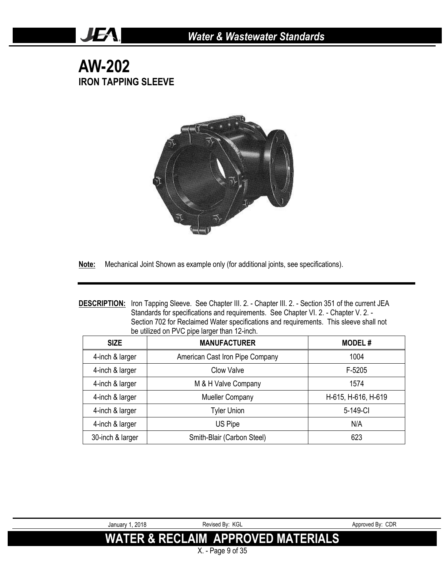## **AW-202 IRON TAPPING SLEEVE**

JEA.



**Note:** Mechanical Joint Shown as example only (for additional joints, see specifications).

| <b>DESCRIPTION:</b> Iron Tapping Sleeve. See Chapter III. 2. - Chapter III. 2. - Section 351 of the current JEA |
|-----------------------------------------------------------------------------------------------------------------|
| Standards for specifications and requirements. See Chapter VI. 2. - Chapter V. 2. -                             |
| Section 702 for Reclaimed Water specifications and requirements. This sleeve shall not                          |
| be utilized on PVC pipe larger than 12-inch.                                                                    |

| <b>SIZE</b>      | <b>MANUFACTURER</b>             | <b>MODEL#</b>       |
|------------------|---------------------------------|---------------------|
| 4-inch & larger  | American Cast Iron Pipe Company | 1004                |
| 4-inch & larger  | Clow Valve                      | F-5205              |
| 4-inch & larger  | M & H Valve Company             | 1574                |
| 4-inch & larger  | <b>Mueller Company</b>          | H-615, H-616, H-619 |
| 4-inch & larger  | <b>Tyler Union</b>              | 5-149-CI            |
| 4-inch & larger  | US Pipe                         | N/A                 |
| 30-inch & larger | Smith-Blair (Carbon Steel)      | 623                 |

X. - Page 9 of 35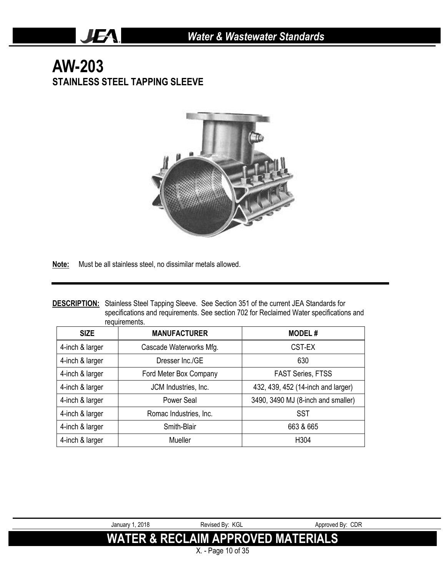# **AW-203 STAINLESS STEEL TAPPING SLEEVE**

JEA.



**Note:** Must be all stainless steel, no dissimilar metals allowed.

|               | <b>DESCRIPTION:</b> Stainless Steel Tapping Sleeve. See Section 351 of the current JEA Standards for |
|---------------|------------------------------------------------------------------------------------------------------|
|               | specifications and requirements. See section 702 for Reclaimed Water specifications and              |
| requirements. |                                                                                                      |

| <b>SIZE</b>     | <b>MANUFACTURER</b>     | <b>MODEL#</b>                      |
|-----------------|-------------------------|------------------------------------|
| 4-inch & larger | Cascade Waterworks Mfg. | CST-EX                             |
| 4-inch & larger | Dresser Inc./GE         | 630                                |
| 4-inch & larger | Ford Meter Box Company  | <b>FAST Series, FTSS</b>           |
| 4-inch & larger | JCM Industries, Inc.    | 432, 439, 452 (14-inch and larger) |
| 4-inch & larger | Power Seal              | 3490, 3490 MJ (8-inch and smaller) |
| 4-inch & larger | Romac Industries, Inc.  | SST                                |
| 4-inch & larger | Smith-Blair             | 663 & 665                          |
| 4-inch & larger | Mueller                 | H304                               |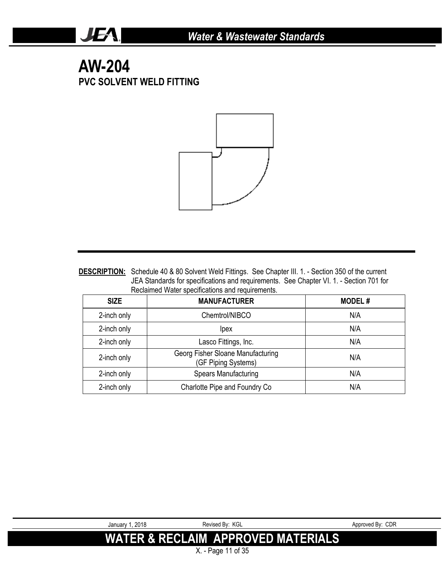# **AW-204 PVC SOLVENT WELD FITTING**

JEA.



**DESCRIPTION:** Schedule 40 & 80 Solvent Weld Fittings. See Chapter III. 1. - Section 350 of the current JEA Standards for specifications and requirements. See Chapter VI. 1. - Section 701 for Reclaimed Water specifications and requirements.

| <b>SIZE</b> | <b>MANUFACTURER</b>                                      | <b>MODEL#</b> |
|-------------|----------------------------------------------------------|---------------|
| 2-inch only | Chemtrol/NIBCO                                           | N/A           |
| 2-inch only | <i>lpex</i>                                              | N/A           |
| 2-inch only | Lasco Fittings, Inc.                                     | N/A           |
| 2-inch only | Georg Fisher Sloane Manufacturing<br>(GF Piping Systems) | N/A           |
| 2-inch only | <b>Spears Manufacturing</b>                              | N/A           |
| 2-inch only | Charlotte Pipe and Foundry Co                            | N/A           |



X. - Page 11 of 35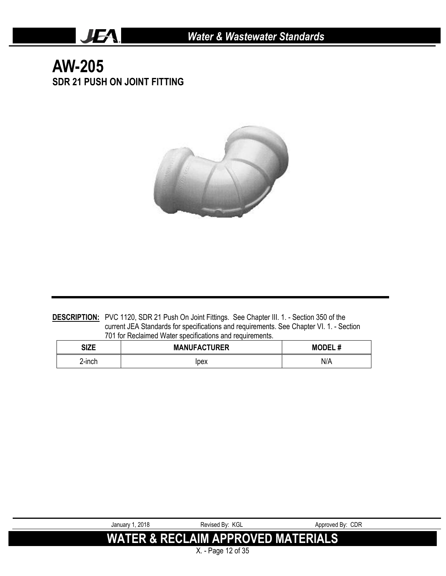# **AW-205 SDR 21 PUSH ON JOINT FITTING**

JEA.



**DESCRIPTION:** PVC 1120, SDR 21 Push On Joint Fittings. See Chapter III. 1. - Section 350 of the current JEA Standards for specifications and requirements. See Chapter VI. 1. - Section 701 for Reclaimed Water specifications and requirements.

| <b>CITE</b><br>JILE | <b>MANUFACTURER</b> | <br><b>MODEL</b> |
|---------------------|---------------------|------------------|
| 2-inch              | lpex                | N/A              |

| . 2018<br>Januarv 1 | Revised Bv: KGL                          | Approved By: CDR |
|---------------------|------------------------------------------|------------------|
|                     | WATER & RECLAIM APPROVED MATERIALS!<br>. |                  |

X. - Page 12 of 35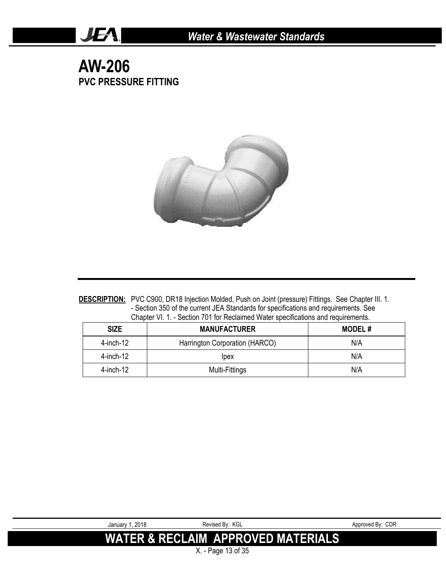## **AW-206 PVC PRESSURE FITTING**

JEA.



**DESCRIPTION:** PVC C900, DR18 Injection Molded, Push on Joint (pressure) Fittings. See Chapter III. 1. - Section 350 of the current JEA Standards for specifications and requirements. See Chapter VI. 1. - Section 701 for Reclaimed Water specifications and requirements.

| <b>SIZE</b>  | <b>MANUFACTURER</b>            | <b>MODEL#</b> |
|--------------|--------------------------------|---------------|
| 4-inch-12    | Harrington Corporation (HARCO) | N/A           |
| $4$ -inch-12 | lpex                           | N/A           |
| 4-inch-12    | Multi-Fittings                 | N/A           |

| January 1, 2018 | Revised By: KGL                               | Approved By: CDR |
|-----------------|-----------------------------------------------|------------------|
|                 | <b>WATER &amp; RECLAIM APPROVED MATERIALS</b> |                  |
|                 | $\sim$ $\sim$ $\sim$ $\sim$                   |                  |

X. - Page 13 of 35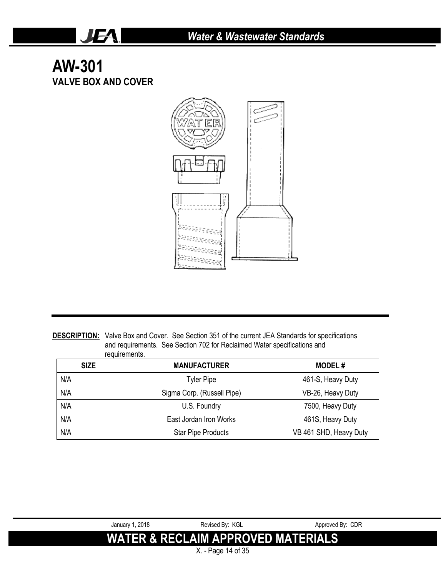# **AW-301 VALVE BOX AND COVER**

JEA.



**DESCRIPTION:** Valve Box and Cover. See Section 351 of the current JEA Standards for specifications and requirements. See Section 702 for Reclaimed Water specifications and requirements.

| <b>SIZE</b> | <b>MANUFACTURER</b>        | <b>MODEL#</b>          |
|-------------|----------------------------|------------------------|
| N/A         | <b>Tyler Pipe</b>          | 461-S, Heavy Duty      |
| N/A         | Sigma Corp. (Russell Pipe) | VB-26, Heavy Duty      |
| N/A         | U.S. Foundry               | 7500, Heavy Duty       |
| N/A         | East Jordan Iron Works     | 461S, Heavy Duty       |
| N/A         | <b>Star Pipe Products</b>  | VB 461 SHD, Heavy Duty |

| January 1, 2018 | Revised By: KGL                               | Approved By: CDR |
|-----------------|-----------------------------------------------|------------------|
|                 | <b>WATER &amp; RECLAIM APPROVED MATERIALS</b> |                  |
|                 | X. - Page 14 of 35                            |                  |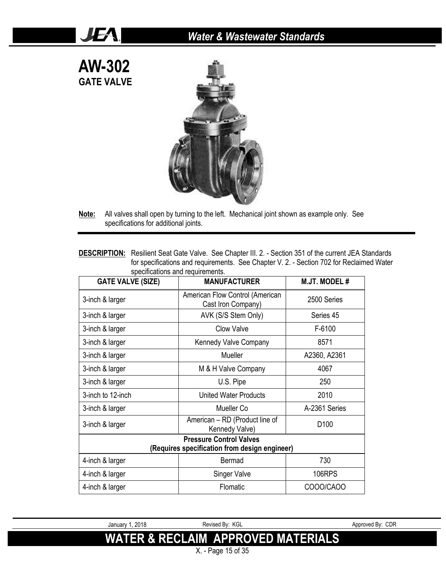

JEA!



- **Note:** All valves shall open by turning to the left. Mechanical joint shown as example only. See specifications for additional joints.
- **DESCRIPTION:** Resilient Seat Gate Valve. See Chapter III. 2. Section 351 of the current JEA Standards for specifications and requirements. See Chapter V. 2. - Section 702 for Reclaimed Water specifications and requirements.

| <b>GATE VALVE (SIZE)</b>                      | <b>MANUFACTURER</b>                                   | <b>M.JT. MODEL#</b> |  |
|-----------------------------------------------|-------------------------------------------------------|---------------------|--|
| 3-inch & larger                               | American Flow Control (American<br>Cast Iron Company) | 2500 Series         |  |
| 3-inch & larger                               | AVK (S/S Stem Only)                                   | Series 45           |  |
| 3-inch & larger                               | Clow Valve                                            | F-6100              |  |
| 3-inch & larger                               | Kennedy Valve Company                                 | 8571                |  |
| 3-inch & larger                               | Mueller                                               | A2360, A2361        |  |
| 3-inch & larger                               | M & H Valve Company                                   | 4067                |  |
| 3-inch & larger                               | U.S. Pipe                                             | 250                 |  |
| 3-inch to 12-inch                             | <b>United Water Products</b>                          | 2010                |  |
| 3-inch & larger                               | Mueller Co                                            | A-2361 Series       |  |
| 3-inch & larger                               | American - RD (Product line of<br>Kennedy Valve)      | D <sub>100</sub>    |  |
| <b>Pressure Control Valves</b>                |                                                       |                     |  |
| (Requires specification from design engineer) |                                                       |                     |  |
| 4-inch & larger                               | Bermad                                                | 730                 |  |
| 4-inch & larger                               | <b>Singer Valve</b>                                   | <b>106RPS</b>       |  |
| 4-inch & larger                               | Flomatic                                              | COOO/CAOO           |  |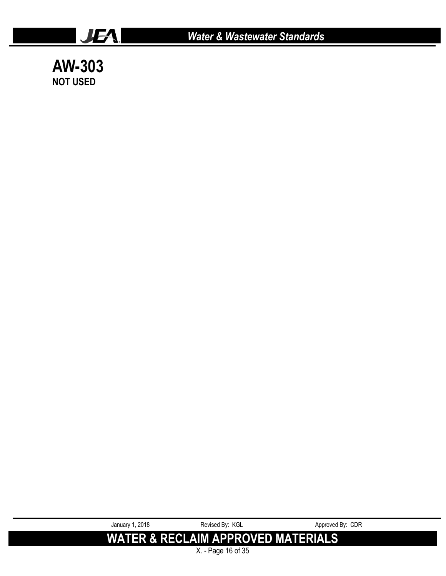

**AW-303 NOT USED**

> January 1, 2018 **Revised By: KGL** Approved By: CDR **WATER & RECLAIM APPROVED MATERIALS** X. - Page 16 of 35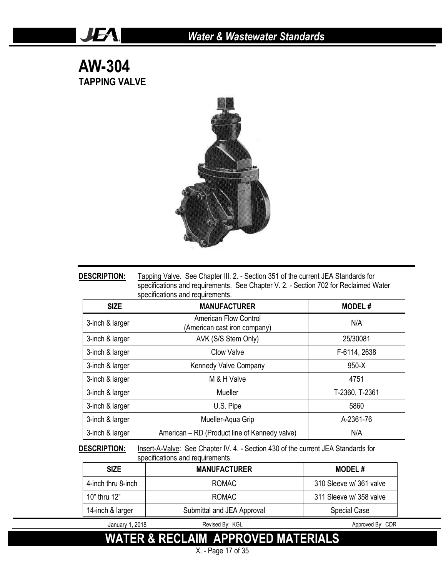### **AW-304 TAPPING VALVE**

JEA.



| <b>DESCRIPTION:</b> | Tapping Valve. See Chapter III. 2. - Section 351 of the current JEA Standards for    |
|---------------------|--------------------------------------------------------------------------------------|
|                     | specifications and requirements. See Chapter V. 2. - Section 702 for Reclaimed Water |
|                     | specifications and requirements.                                                     |

| <b>SIZE</b>     | <b>MANUFACTURER</b>                                          | <b>MODEL#</b>  |
|-----------------|--------------------------------------------------------------|----------------|
| 3-inch & larger | <b>American Flow Control</b><br>(American cast iron company) | N/A            |
| 3-inch & larger | AVK (S/S Stem Only)                                          | 25/30081       |
| 3-inch & larger | <b>Clow Valve</b>                                            | F-6114, 2638   |
| 3-inch & larger | Kennedy Valve Company                                        | $950-X$        |
| 3-inch & larger | M & H Valve                                                  | 4751           |
| 3-inch & larger | Mueller                                                      | T-2360, T-2361 |
| 3-inch & larger | U.S. Pipe                                                    | 5860           |
| 3-inch & larger | Mueller-Aqua Grip                                            | A-2361-76      |
| 3-inch & larger | American – RD (Product line of Kennedy valve)                | N/A            |

**DESCRIPTION:** Insert-A-Valve: See Chapter IV. 4. - Section 430 of the current JEA Standards for specifications and requirements.

| <b>SIZE</b>        | <b>MANUFACTURER</b>        | <b>MODEL#</b>           |
|--------------------|----------------------------|-------------------------|
| 4-inch thru 8-inch | <b>ROMAC</b>               | 310 Sleeve w/ 361 valve |
| 10" thru 12"       | <b>ROMAC</b>               | 311 Sleeve w/ 358 valve |
| 14-inch & larger   | Submittal and JEA Approval | <b>Special Case</b>     |
| January 1, 2018    | Revised By: KGL            | Approved By: CDR        |

**WATER & RECLAIM APPROVED MATERIALS**

X. - Page 17 of 35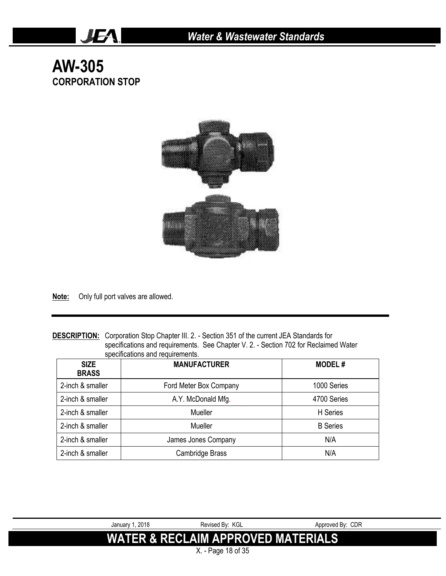# **AW-305 CORPORATION STOP**

JEA.



**Note:** Only full port valves are allowed.

**DESCRIPTION:** Corporation Stop Chapter III. 2. - Section 351 of the current JEA Standards for specifications and requirements. See Chapter V. 2. - Section 702 for Reclaimed Water specifications and requirements.

| <b>SIZE</b><br><b>BRASS</b> | <b>MANUFACTURER</b>    | <b>MODEL#</b>   |
|-----------------------------|------------------------|-----------------|
| 2-inch & smaller            | Ford Meter Box Company | 1000 Series     |
| 2-inch & smaller            | A.Y. McDonald Mfg.     | 4700 Series     |
| 2-inch & smaller            | Mueller                | H Series        |
| 2-inch & smaller            | Mueller                | <b>B</b> Series |
| 2-inch & smaller            | James Jones Company    | N/A             |
| 2-inch & smaller            | Cambridge Brass        | N/A             |

| January 1, 2018 | Revised By: KGL                               | Approved By: CDR |
|-----------------|-----------------------------------------------|------------------|
|                 |                                               |                  |
|                 | <b>WATER &amp; RECLAIM APPROVED MATERIALS</b> |                  |
|                 |                                               |                  |
|                 | X. - Page 18 of 35                            |                  |
|                 |                                               |                  |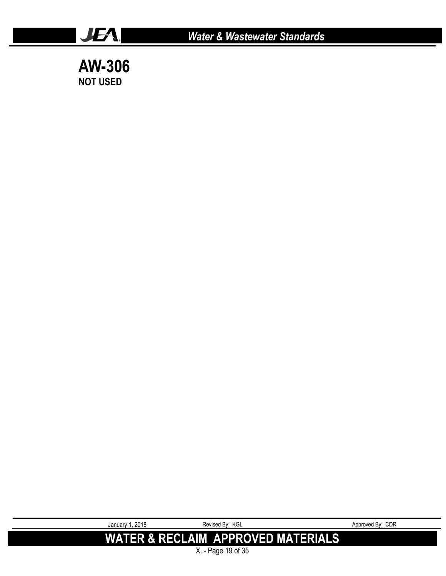



JEA.

January 1, 2018 **Revised By: KGL** Approved By: CDR **WATER & RECLAIM APPROVED MATERIALS**

X. - Page 19 of 35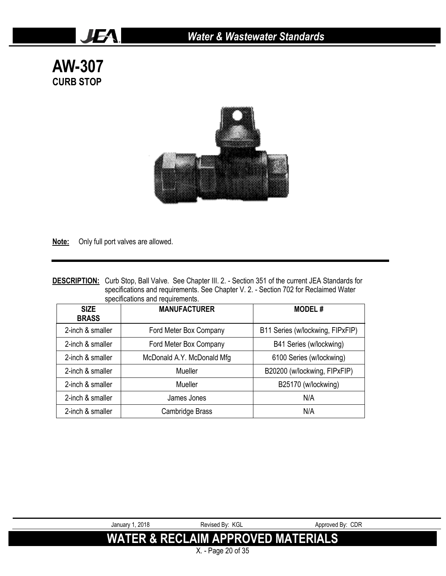**AW-307 CURB STOP**

JEA.



**Note:** Only full port valves are allowed.

| <b>DESCRIPTION:</b> Curb Stop, Ball Valve. See Chapter III. 2. - Section 351 of the current JEA Standards for |
|---------------------------------------------------------------------------------------------------------------|
| specifications and requirements. See Chapter V. 2. - Section 702 for Reclaimed Water                          |
| specifications and requirements.                                                                              |

| <b>SIZE</b><br><b>BRASS</b> | <b>MANUFACTURER</b>        | <b>MODEL#</b>                    |
|-----------------------------|----------------------------|----------------------------------|
| 2-inch & smaller            | Ford Meter Box Company     | B11 Series (w/lockwing, FIPxFIP) |
| 2-inch & smaller            | Ford Meter Box Company     | B41 Series (w/lockwing)          |
| 2-inch & smaller            | McDonald A.Y. McDonald Mfg | 6100 Series (w/lockwing)         |
| 2-inch & smaller            | Mueller                    | B20200 (w/lockwing, FIPxFIP)     |
| 2-inch & smaller            | Mueller                    | B25170 (w/lockwing)              |
| 2-inch & smaller            | James Jones                | N/A                              |
| 2-inch & smaller            | Cambridge Brass            | N/A                              |



X. - Page 20 of 35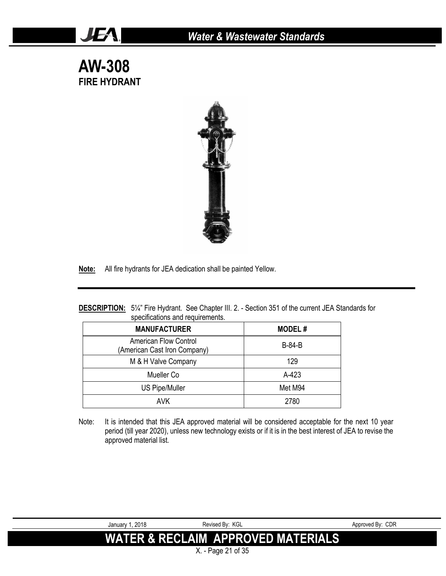**AW-308 FIRE HYDRANT**

JEA!



**Note:** All fire hydrants for JEA dedication shall be painted Yellow.

#### **DESCRIPTION:** 5¼" Fire Hydrant. See Chapter III. 2. - Section 351 of the current JEA Standards for specifications and requirements.

| <b>MANUFACTURER</b>                                          | <b>MODEL#</b> |
|--------------------------------------------------------------|---------------|
| <b>American Flow Control</b><br>(American Cast Iron Company) | <b>B-84-B</b> |
| M & H Valve Company                                          | 129           |
| Mueller Co                                                   | $A-423$       |
| <b>US Pipe/Muller</b>                                        | Met M94       |
| AVK.                                                         | 2780          |

Note: It is intended that this JEA approved material will be considered acceptable for the next 10 year period (till year 2020), unless new technology exists or if it is in the best interest of JEA to revise the approved material list.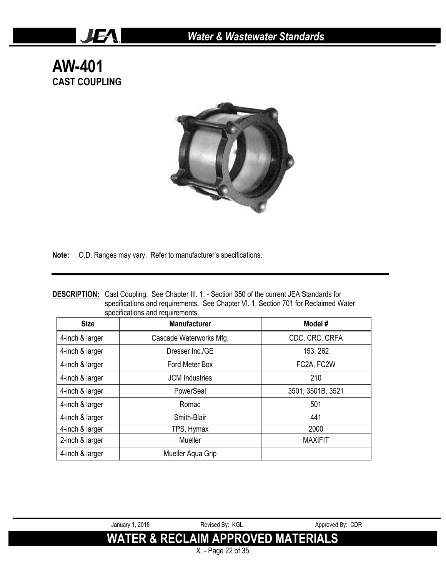**AW-401 CAST COUPLING**

JEA.



Note: O.D. Ranges may vary. Refer to manufacturer's specifications.

| <b>DESCRIPTION:</b><br>Cast Coupling. See Chapter III. 1. - Section 350 of the current JEA Standards for<br>specifications and requirements. See Chapter VI. 1. Section 701 for Reclaimed Water<br>specifications and requirements. |                         |                   |
|-------------------------------------------------------------------------------------------------------------------------------------------------------------------------------------------------------------------------------------|-------------------------|-------------------|
| <b>Size</b>                                                                                                                                                                                                                         | <b>Manufacturer</b>     | Model#            |
| 4-inch & larger                                                                                                                                                                                                                     | Cascade Waterworks Mfg. | CDC, CRC, CRFA    |
| 4-inch & larger                                                                                                                                                                                                                     | Dresser Inc./GE         | 153, 262          |
| 4-inch & larger                                                                                                                                                                                                                     | Ford Meter Box          | FC2A, FC2W        |
| 4-inch & larger                                                                                                                                                                                                                     | <b>JCM</b> Industries   | 210               |
| 4-inch & larger                                                                                                                                                                                                                     | PowerSeal               | 3501, 3501B, 3521 |
| 4-inch & larger                                                                                                                                                                                                                     | Romac                   | 501               |
| 4-inch & larger                                                                                                                                                                                                                     | Smith-Blair             | 441               |
| 4-inch & larger                                                                                                                                                                                                                     | TPS, Hymax              | 2000              |
| 2-inch & larger                                                                                                                                                                                                                     | Mueller                 | <b>MAXIFIT</b>    |
| 4-inch & larger                                                                                                                                                                                                                     | Mueller Aqua Grip       |                   |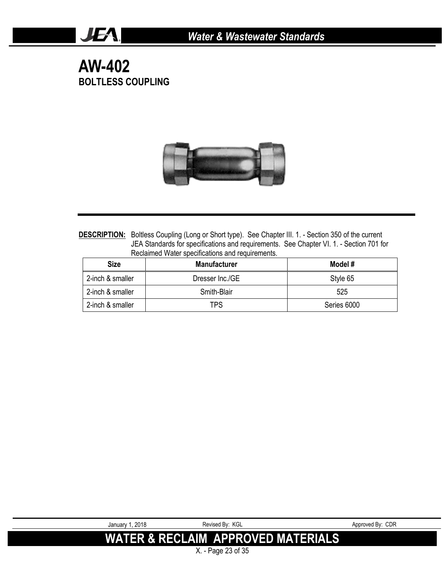# **AW-402 BOLTLESS COUPLING**

JEA!



DESCRIPTION: Boltless Coupling (Long or Short type). See Chapter III. 1. - Section 350 of the current JEA Standards for specifications and requirements. See Chapter VI. 1. - Section 701 for Reclaimed Water specifications and requirements.

| <b>Size</b>      | <b>Manufacturer</b> | Model #     |
|------------------|---------------------|-------------|
| 2-inch & smaller | Dresser Inc./GE     | Style 65    |
| 2-inch & smaller | Smith-Blair         | 525         |
| 2-inch & smaller | TPS                 | Series 6000 |

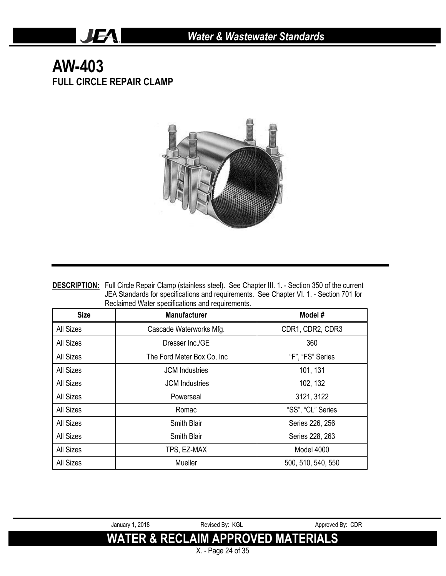## **AW-403 FULL CIRCLE REPAIR CLAMP**

JEA.



| <b>DESCRIPTION:</b> Full Circle Repair Clamp (stainless steel). See Chapter III. 1. - Section 350 of the current |
|------------------------------------------------------------------------------------------------------------------|
| JEA Standards for specifications and requirements. See Chapter VI. 1. - Section 701 for                          |
| Reclaimed Water specifications and requirements.                                                                 |

| <b>Size</b>      | <b>Manufacturer</b>        | Model#             |
|------------------|----------------------------|--------------------|
| <b>All Sizes</b> | Cascade Waterworks Mfg.    | CDR1, CDR2, CDR3   |
| All Sizes        | Dresser Inc./GE            | 360                |
| All Sizes        | The Ford Meter Box Co, Inc | "F", "FS" Series   |
| All Sizes        | <b>JCM</b> Industries      | 101, 131           |
| All Sizes        | <b>JCM</b> Industries      | 102, 132           |
| All Sizes        | Powerseal                  | 3121, 3122         |
| All Sizes        | Romac                      | "SS", "CL" Series  |
| All Sizes        | <b>Smith Blair</b>         | Series 226, 256    |
| <b>All Sizes</b> | <b>Smith Blair</b>         | Series 228, 263    |
| <b>All Sizes</b> | TPS, EZ-MAX                | Model 4000         |
| <b>All Sizes</b> | Mueller                    | 500, 510, 540, 550 |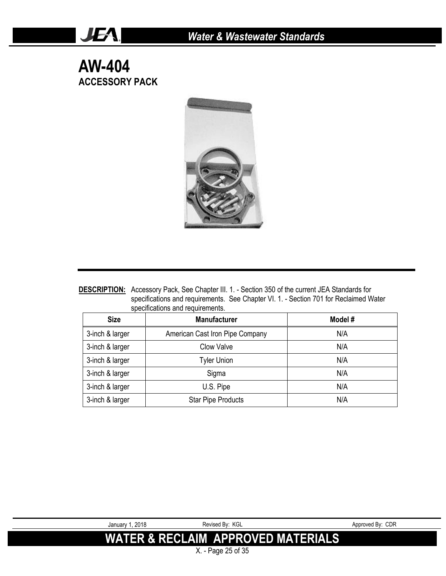**AW-404 ACCESSORY PACK**

JEA.



**DESCRIPTION:** Accessory Pack, See Chapter III. 1. - Section 350 of the current JEA Standards for specifications and requirements. See Chapter VI. 1. - Section 701 for Reclaimed Water specifications and requirements.

| <b>Size</b>     | <b>Manufacturer</b>             | Model # |
|-----------------|---------------------------------|---------|
| 3-inch & larger | American Cast Iron Pipe Company | N/A     |
| 3-inch & larger | Clow Valve                      | N/A     |
| 3-inch & larger | <b>Tyler Union</b>              | N/A     |
| 3-inch & larger | Sigma                           | N/A     |
| 3-inch & larger | U.S. Pipe                       | N/A     |
| 3-inch & larger | <b>Star Pipe Products</b>       | N/A     |

X. - Page 25 of 35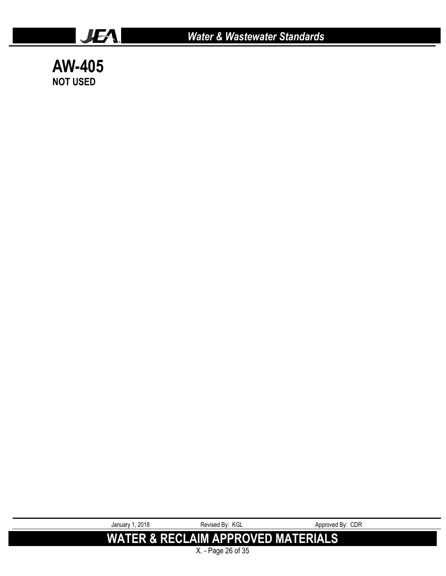

**AW-405 NOT USED**

> January 1, 2018 **Revised By: KGL** Approved By: CDR **WATER & RECLAIM APPROVED MATERIALS**

X. - Page 26 of 35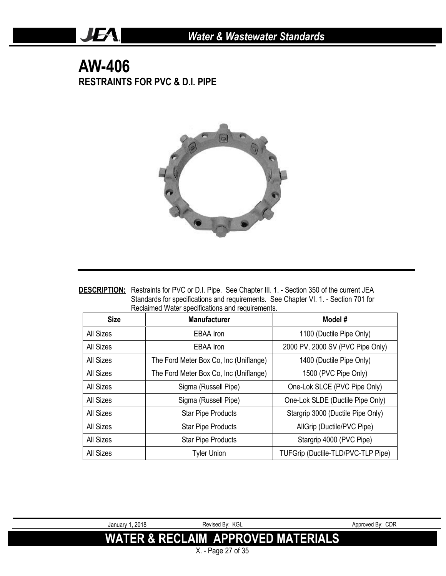# **AW-406 RESTRAINTS FOR PVC & D.I. PIPE**

JEA.



| <b>DESCRIPTION:</b> Restraints for PVC or D.I. Pipe. See Chapter III. 1. - Section 350 of the current JEA |
|-----------------------------------------------------------------------------------------------------------|
| Standards for specifications and requirements. See Chapter VI. 1. - Section 701 for                       |
| Reclaimed Water specifications and requirements.                                                          |

| <b>Size</b> | <b>Manufacturer</b>                    | Model #                            |
|-------------|----------------------------------------|------------------------------------|
| All Sizes   | <b>EBAA</b> Iron                       | 1100 (Ductile Pipe Only)           |
| All Sizes   | EBAA Iron                              | 2000 PV, 2000 SV (PVC Pipe Only)   |
| All Sizes   | The Ford Meter Box Co, Inc (Uniflange) | 1400 (Ductile Pipe Only)           |
| All Sizes   | The Ford Meter Box Co, Inc (Uniflange) | 1500 (PVC Pipe Only)               |
| All Sizes   | Sigma (Russell Pipe)                   | One-Lok SLCE (PVC Pipe Only)       |
| All Sizes   | Sigma (Russell Pipe)                   | One-Lok SLDE (Ductile Pipe Only)   |
| All Sizes   | <b>Star Pipe Products</b>              | Stargrip 3000 (Ductile Pipe Only)  |
| All Sizes   | <b>Star Pipe Products</b>              | AllGrip (Ductile/PVC Pipe)         |
| All Sizes   | <b>Star Pipe Products</b>              | Stargrip 4000 (PVC Pipe)           |
| All Sizes   | <b>Tyler Union</b>                     | TUFGrip (Ductile-TLD/PVC-TLP Pipe) |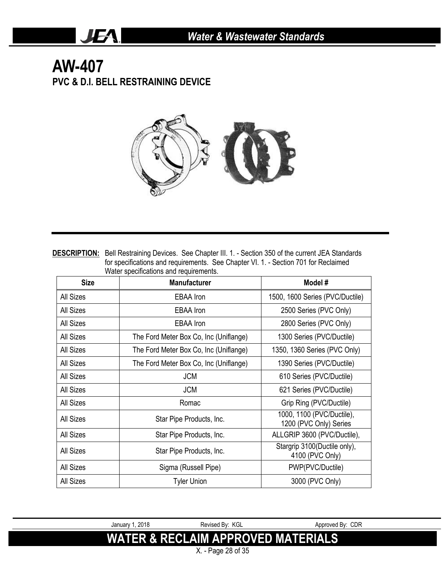# **AW-407 PVC & D.I. BELL RESTRAINING DEVICE**

JEA.



**DESCRIPTION:** Bell Restraining Devices. See Chapter III. 1. - Section 350 of the current JEA Standards for specifications and requirements. See Chapter VI. 1. - Section 701 for Reclaimed Water specifications and requirements.

| <b>Size</b>      | ,,a.o. opool.ioa.io.io and roquironion.c.<br><b>Manufacturer</b> | Model #                                             |
|------------------|------------------------------------------------------------------|-----------------------------------------------------|
| <b>All Sizes</b> | EBAA Iron                                                        | 1500, 1600 Series (PVC/Ductile)                     |
| <b>All Sizes</b> | EBAA Iron                                                        | 2500 Series (PVC Only)                              |
| <b>All Sizes</b> | <b>EBAA</b> Iron                                                 | 2800 Series (PVC Only)                              |
| <b>All Sizes</b> | The Ford Meter Box Co, Inc (Uniflange)                           | 1300 Series (PVC/Ductile)                           |
| <b>All Sizes</b> | The Ford Meter Box Co, Inc (Uniflange)                           | 1350, 1360 Series (PVC Only)                        |
| <b>All Sizes</b> | The Ford Meter Box Co, Inc (Uniflange)                           | 1390 Series (PVC/Ductile)                           |
| All Sizes        | <b>JCM</b>                                                       | 610 Series (PVC/Ductile)                            |
| <b>All Sizes</b> | <b>JCM</b>                                                       | 621 Series (PVC/Ductile)                            |
| <b>All Sizes</b> | Romac                                                            | Grip Ring (PVC/Ductile)                             |
| All Sizes        | Star Pipe Products, Inc.                                         | 1000, 1100 (PVC/Ductile),<br>1200 (PVC Only) Series |
| <b>All Sizes</b> | Star Pipe Products, Inc.                                         | ALLGRIP 3600 (PVC/Ductile),                         |
| <b>All Sizes</b> | Star Pipe Products, Inc.                                         | Stargrip 3100 (Ductile only),<br>4100 (PVC Only)    |
| <b>All Sizes</b> | Sigma (Russell Pipe)                                             | PWP(PVC/Ductile)                                    |
| All Sizes        | <b>Tyler Union</b>                                               | 3000 (PVC Only)                                     |

January 1, 2018 **Revised By: KGL** Approved By: CDR **WATER & RECLAIM APPROVED MATERIALS**

X. - Page 28 of 35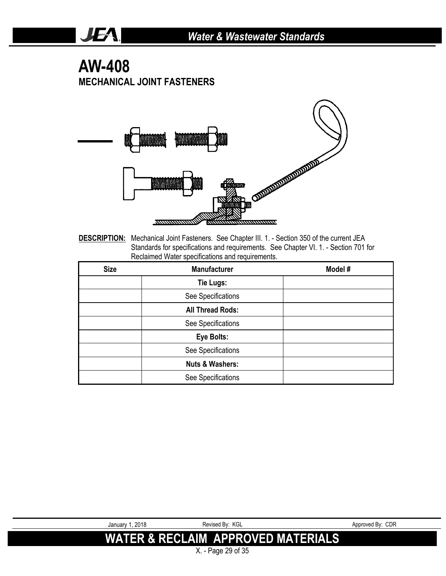# **AW-408 MECHANICAL JOINT FASTENERS**

JEA.



**DESCRIPTION:** Mechanical Joint Fasteners. See Chapter III. 1. - Section 350 of the current JEA Standards for specifications and requirements. See Chapter VI. 1. - Section 701 for Reclaimed Water specifications and requirements.

| <b>Size</b> | <b>Manufacturer</b>        | Model # |
|-------------|----------------------------|---------|
|             | Tie Lugs:                  |         |
|             | See Specifications         |         |
|             | <b>All Thread Rods:</b>    |         |
|             | See Specifications         |         |
|             | Eye Bolts:                 |         |
|             | See Specifications         |         |
|             | <b>Nuts &amp; Washers:</b> |         |
|             | See Specifications         |         |

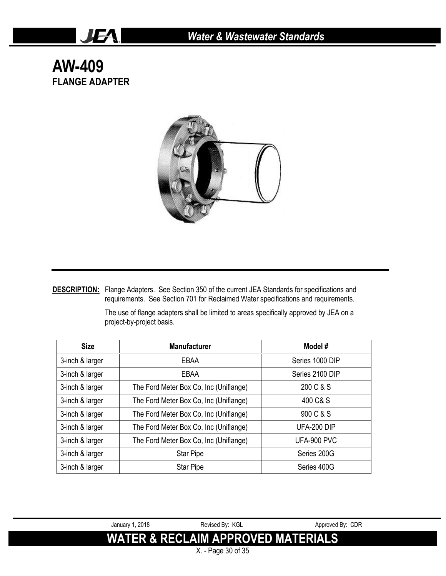**AW-409 FLANGE ADAPTER**

JEA.



**DESCRIPTION:** Flange Adapters. See Section 350 of the current JEA Standards for specifications and requirements. See Section 701 for Reclaimed Water specifications and requirements.

**Size Manufacturer Model #** 3-inch & larger  $\qquad$  EBAA Series 1000 DIP 3-inch & larger  $\qquad$  EBAA Series 2100 DIP 3-inch & larger The Ford Meter Box Co, Inc (Uniflange) 200 C & S 3-inch & larger The Ford Meter Box Co, Inc (Uniflange) 400 C& S 3-inch & larger The Ford Meter Box Co, Inc (Uniflange) 900 C & S 3-inch & larger The Ford Meter Box Co, Inc (Uniflange) UFA-200 DIP 3-inch & larger The Ford Meter Box Co, Inc (Uniflange) UFA-900 PVC 3-inch & larger Star Pipe Star Pipe Series 200G 3-inch & larger Star Pipe Series 400G

The use of flange adapters shall be limited to areas specifically approved by JEA on a project-by-project basis.

January 1, 2018 **Revised By: KGL** Approved By: CDR **WATER & RECLAIM APPROVED MATERIALS** X. - Page 30 of 35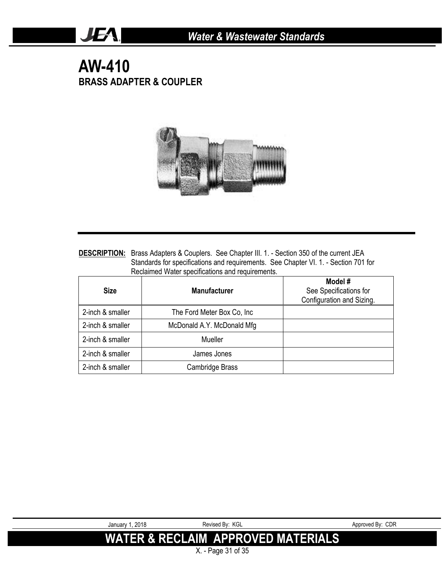# **AW-410 BRASS ADAPTER & COUPLER**

JEA.



**DESCRIPTION:** Brass Adapters & Couplers. See Chapter III. 1. - Section 350 of the current JEA Standards for specifications and requirements. See Chapter VI. 1. - Section 701 for Reclaimed Water specifications and requirements.

| <b>Size</b>      | <b>Manufacturer</b>         | Model #<br>See Specifications for<br>Configuration and Sizing. |
|------------------|-----------------------------|----------------------------------------------------------------|
| 2-inch & smaller | The Ford Meter Box Co, Inc. |                                                                |
| 2-inch & smaller | McDonald A.Y. McDonald Mfg  |                                                                |
| 2-inch & smaller | Mueller                     |                                                                |
| 2-inch & smaller | James Jones                 |                                                                |
| 2-inch & smaller | Cambridge Brass             |                                                                |

| January 1, 2018 | Revised By: KGL                               | Approved By: CDR |
|-----------------|-----------------------------------------------|------------------|
|                 | <b>WATER &amp; RECLAIM APPROVED MATERIALS</b> |                  |
|                 | X. - Page 31 of 35                            |                  |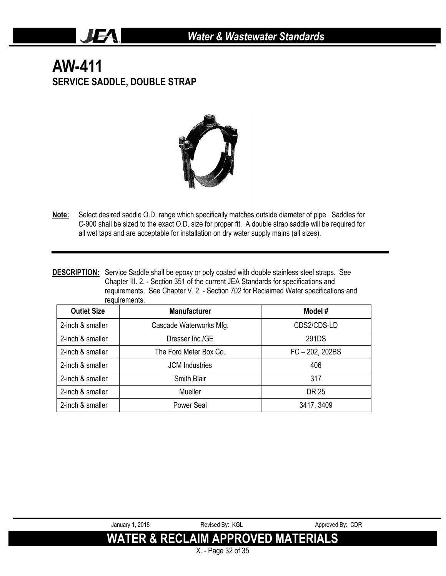# **AW-411 SERVICE SADDLE, DOUBLE STRAP**

JEA.



- **Note:** Select desired saddle O.D. range which specifically matches outside diameter of pipe. Saddles for C-900 shall be sized to the exact O.D. size for proper fit. A double strap saddle will be required for all wet taps and are acceptable for installation on dry water supply mains (all sizes).
- **DESCRIPTION:** Service Saddle shall be epoxy or poly coated with double stainless steel straps. See Chapter III. 2. - Section 351 of the current JEA Standards for specifications and requirements. See Chapter V. 2. - Section 702 for Reclaimed Water specifications and requirements.

| <b>Outlet Size</b> | <b>Manufacturer</b>     | Model #           |
|--------------------|-------------------------|-------------------|
| 2-inch & smaller   | Cascade Waterworks Mfg. | CDS2/CDS-LD       |
| 2-inch & smaller   | Dresser Inc./GE         | 291DS             |
| 2-inch & smaller   | The Ford Meter Box Co.  | $FC - 202, 202BS$ |
| 2-inch & smaller   | <b>JCM</b> Industries   | 406               |
| 2-inch & smaller   | <b>Smith Blair</b>      | 317               |
| 2-inch & smaller   | Mueller                 | DR 25             |
| 2-inch & smaller   | Power Seal              | 3417, 3409        |



X. - Page 32 of 35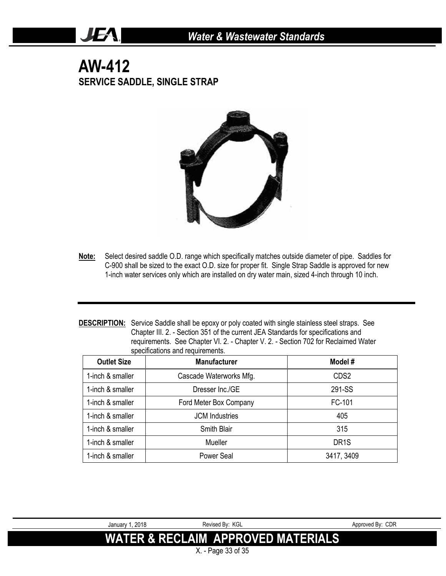# **AW-412 SERVICE SADDLE, SINGLE STRAP**

JEA.



- **Note:** Select desired saddle O.D. range which specifically matches outside diameter of pipe. Saddles for C-900 shall be sized to the exact O.D. size for proper fit. Single Strap Saddle is approved for new 1-inch water services only which are installed on dry water main, sized 4-inch through 10 inch.
- **DESCRIPTION:** Service Saddle shall be epoxy or poly coated with single stainless steel straps. See Chapter III. 2. - Section 351 of the current JEA Standards for specifications and requirements. See Chapter VI. 2. - Chapter V. 2. - Section 702 for Reclaimed Water specifications and requirements.

| <b>Outlet Size</b> | <b>Manufacturer</b>     | Model #           |
|--------------------|-------------------------|-------------------|
| 1-inch & smaller   | Cascade Waterworks Mfg. | CDS <sub>2</sub>  |
| 1-inch & smaller   | Dresser Inc./GE         | 291-SS            |
| 1-inch & smaller   | Ford Meter Box Company  | FC-101            |
| 1-inch & smaller   | <b>JCM</b> Industries   | 405               |
| 1-inch & smaller   | <b>Smith Blair</b>      | 315               |
| 1-inch & smaller   | Mueller                 | DR <sub>1</sub> S |
| 1-inch & smaller   | Power Seal              | 3417, 3409        |

| January 1, 2018 | Revised By: KGL                               | Approved By: CDR |
|-----------------|-----------------------------------------------|------------------|
|                 | <b>WATER &amp; RECLAIM APPROVED MATERIALS</b> |                  |
|                 | X. - Page 33 of 35                            |                  |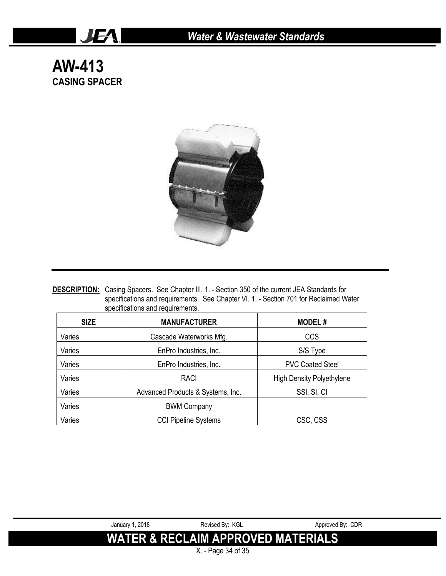# **AW-413 CASING SPACER**

JEA.



**DESCRIPTION:** Casing Spacers. See Chapter III. 1. - Section 350 of the current JEA Standards for specifications and requirements. See Chapter VI. 1. - Section 701 for Reclaimed Water specifications and requirements.

| <b>SIZE</b> | <b>MANUFACTURER</b>               | <b>MODEL#</b>                    |
|-------------|-----------------------------------|----------------------------------|
| Varies      | Cascade Waterworks Mfg.           | <b>CCS</b>                       |
| Varies      | EnPro Industries, Inc.            | S/S Type                         |
| Varies      | EnPro Industries, Inc.            | <b>PVC Coated Steel</b>          |
| Varies      | <b>RACI</b>                       | <b>High Density Polyethylene</b> |
| Varies      | Advanced Products & Systems, Inc. | SSI, SI, CI                      |
| Varies      | <b>BWM Company</b>                |                                  |
| Varies      | <b>CCI Pipeline Systems</b>       | CSC, CSS                         |